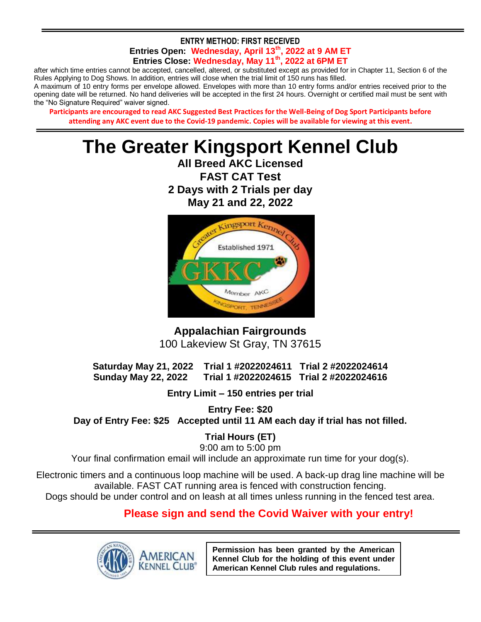#### **ENTRY METHOD: FIRST RECEIVED Entries Open: Wednesday, April 13th, 2022 at 9 AM ET Entries Close: Wednesday, May 11th, 2022 at 6PM ET**

after which time entries cannot be accepted, cancelled, altered, or substituted except as provided for in Chapter 11, Section 6 of the Rules Applying to Dog Shows. In addition, entries will close when the trial limit of 150 runs has filled.

A maximum of 10 entry forms per envelope allowed. Envelopes with more than 10 entry forms and/or entries received prior to the opening date will be returned. No hand deliveries will be accepted in the first 24 hours. Overnight or certified mail must be sent with the "No Signature Required" waiver signed.

**Participants are encouraged to read AKC Suggested Best Practices for the Well-Being of Dog Sport Participants before attending any AKC event due to the Covid-19 pandemic. Copies will be available for viewing at this event.**

# **The Greater Kingsport Kennel Club**

**All Breed AKC Licensed FAST CAT Test 2 Days with 2 Trials per day May 21 and 22, 2022**



**Appalachian Fairgrounds** 100 Lakeview St Gray, TN 37615

**Saturday May 21, 2022 Trial 1 #2022024611 Trial 2 #2022024614 Sunday May 22, 2022 Trial 1 #2022024615 Trial 2 #2022024616**

**Entry Limit – 150 entries per trial**

**Entry Fee: \$20 Day of Entry Fee: \$25 Accepted until 11 AM each day if trial has not filled.**

**Trial Hours (ET)**

9:00 am to 5:00 pm Your final confirmation email will include an approximate run time for your dog(s).

Electronic timers and a continuous loop machine will be used. A back-up drag line machine will be available. FAST CAT running area is fenced with construction fencing. Dogs should be under control and on leash at all times unless running in the fenced test area.

## **Please sign and send the Covid Waiver with your entry!**



**Permission has been granted by the American Kennel Club for the holding of this event under American Kennel Club rules and regulations.**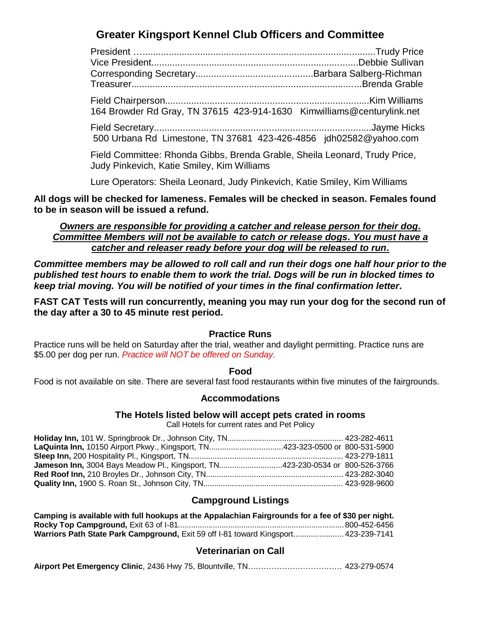## **Greater Kingsport Kennel Club Officers and Committee**

President ….........................................................................................Trudy Price Vice President...............................................................................Debbie Sullivan Corresponding Secretary.............................................Barbara Salberg-Richman Treasurer........................................................................................Brenda Grable Field Chairperson..............................................................................Kim Williams 164 Browder Rd Gray, TN 37615 423-914-1630 Kimwilliams@centurylink.net Field Secretary...................................................................................Jayme Hicks 500 Urbana Rd Limestone, TN 37681 423-426-4856 jdh02582@yahoo.com

Field Committee: Rhonda Gibbs, Brenda Grable, Sheila Leonard, Trudy Price, Judy Pinkevich, Katie Smiley, Kim Williams

Lure Operators: Sheila Leonard, Judy Pinkevich, Katie Smiley, Kim Williams

**All dogs will be checked for lameness. Females will be checked in season. Females found to be in season will be issued a refund.**

*Owners are responsible for providing a catcher and release person for their dog. Committee Members will not be available to catch or release dogs. You must have a catcher and releaser ready before your dog will be released to run.*

*Committee members may be allowed to roll call and run their dogs one half hour prior to the published test hours to enable them to work the trial. Dogs will be run in blocked times to keep trial moving. You will be notified of your times in the final confirmation letter.*

**FAST CAT Tests will run concurrently, meaning you may run your dog for the second run of the day after a 30 to 45 minute rest period.**

#### **Practice Runs**

Practice runs will be held on Saturday after the trial, weather and daylight permitting. Practice runs are \$5.00 per dog per run. *Practice will NOT be offered on Sunday.*

#### **Food**

Food is not available on site. There are several fast food restaurants within five minutes of the fairgrounds.

#### **Accommodations**

#### **The Hotels listed below will accept pets crated in rooms**

Call Hotels for current rates and Pet Policy

| LaQuinta Inn, 10150 Airport Pkwy., Kingsport, TN423-323-0500 or 800-531-5900 |  |
|------------------------------------------------------------------------------|--|
|                                                                              |  |
| Jameson Inn, 3004 Bays Meadow Pl., Kingsport, TN423-230-0534 or 800-526-3766 |  |
|                                                                              |  |
|                                                                              |  |

#### **Campground Listings**

| Camping is available with full hookups at the Appalachian Fairgrounds for a fee of \$30 per night. |              |
|----------------------------------------------------------------------------------------------------|--------------|
|                                                                                                    | 800-452-6456 |
| Warriors Path State Park Campground, Exit 59 off 1-81 toward Kingsport 423-239-7141                |              |

#### **Veterinarian on Call**

|--|--|--|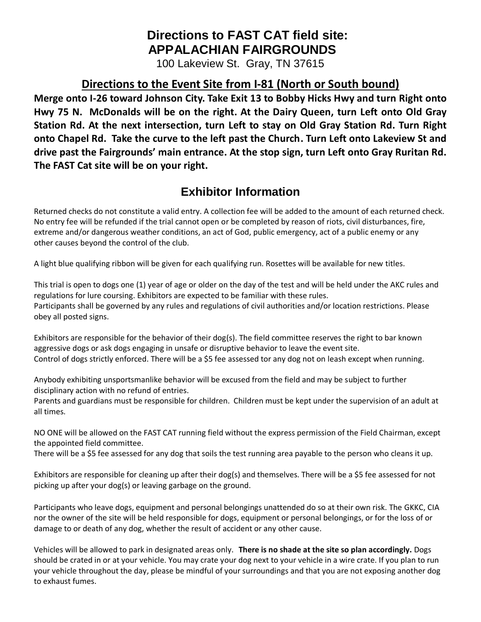# **Directions to FAST CAT field site: APPALACHIAN FAIRGROUNDS**

100 Lakeview St. Gray, TN 37615

# **Directions to the Event Site from I-81 (North or South bound)**

**Merge onto I-26 toward Johnson City. Take Exit 13 to Bobby Hicks Hwy and turn Right onto Hwy 75 N. McDonalds will be on the right. At the Dairy Queen, turn Left onto Old Gray Station Rd. At the next intersection, turn Left to stay on Old Gray Station Rd. Turn Right onto Chapel Rd. Take the curve to the left past the Church. Turn Left onto Lakeview St and drive past the Fairgrounds' main entrance. At the stop sign, turn Left onto Gray Ruritan Rd. The FAST Cat site will be on your right.**

# **Exhibitor Information**

Returned checks do not constitute a valid entry. A collection fee will be added to the amount of each returned check. No entry fee will be refunded if the trial cannot open or be completed by reason of riots, civil disturbances, fire, extreme and/or dangerous weather conditions, an act of God, public emergency, act of a public enemy or any other causes beyond the control of the club.

A light blue qualifying ribbon will be given for each qualifying run. Rosettes will be available for new titles.

This trial is open to dogs one (1) year of age or older on the day of the test and will be held under the AKC rules and regulations for lure coursing. Exhibitors are expected to be familiar with these rules. Participants shall be governed by any rules and regulations of civil authorities and/or location restrictions. Please obey all posted signs.

Exhibitors are responsible for the behavior of their dog(s). The field committee reserves the right to bar known aggressive dogs or ask dogs engaging in unsafe or disruptive behavior to leave the event site. Control of dogs strictly enforced. There will be a \$5 fee assessed tor any dog not on leash except when running.

Anybody exhibiting unsportsmanlike behavior will be excused from the field and may be subject to further disciplinary action with no refund of entries.

Parents and guardians must be responsible for children. Children must be kept under the supervision of an adult at all times.

NO ONE will be allowed on the FAST CAT running field without the express permission of the Field Chairman, except the appointed field committee.

There will be a \$5 fee assessed for any dog that soils the test running area payable to the person who cleans it up.

Exhibitors are responsible for cleaning up after their dog(s) and themselves. There will be a \$5 fee assessed for not picking up after your dog(s) or leaving garbage on the ground.

Participants who leave dogs, equipment and personal belongings unattended do so at their own risk. The GKKC, CIA nor the owner of the site will be held responsible for dogs, equipment or personal belongings, or for the loss of or damage to or death of any dog, whether the result of accident or any other cause.

Vehicles will be allowed to park in designated areas only. **There is no shade at the site so plan accordingly.** Dogs should be crated in or at your vehicle. You may crate your dog next to your vehicle in a wire crate. If you plan to run your vehicle throughout the day, please be mindful of your surroundings and that you are not exposing another dog to exhaust fumes.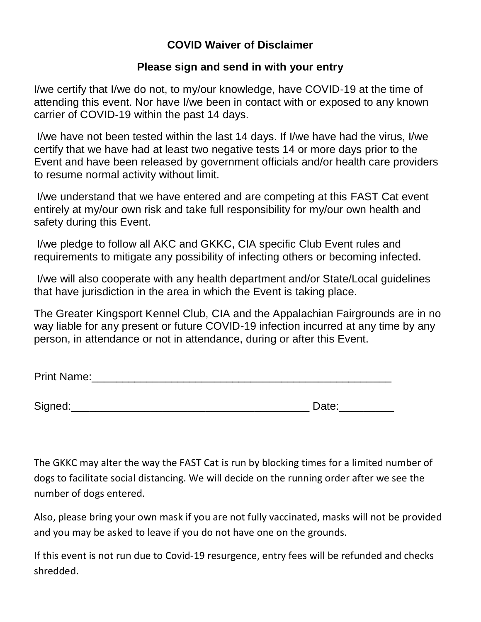### **COVID Waiver of Disclaimer**

### **Please sign and send in with your entry**

I/we certify that I/we do not, to my/our knowledge, have COVID-19 at the time of attending this event. Nor have I/we been in contact with or exposed to any known carrier of COVID-19 within the past 14 days.

I/we have not been tested within the last 14 days. If I/we have had the virus, I/we certify that we have had at least two negative tests 14 or more days prior to the Event and have been released by government officials and/or health care providers to resume normal activity without limit.

I/we understand that we have entered and are competing at this FAST Cat event entirely at my/our own risk and take full responsibility for my/our own health and safety during this Event.

I/we pledge to follow all AKC and GKKC, CIA specific Club Event rules and requirements to mitigate any possibility of infecting others or becoming infected.

I/we will also cooperate with any health department and/or State/Local guidelines that have jurisdiction in the area in which the Event is taking place.

The Greater Kingsport Kennel Club, CIA and the Appalachian Fairgrounds are in no way liable for any present or future COVID-19 infection incurred at any time by any person, in attendance or not in attendance, during or after this Event.

| <b>Print Name:</b> |
|--------------------|
|--------------------|

Signed:\_\_\_\_\_\_\_\_\_\_\_\_\_\_\_\_\_\_\_\_\_\_\_\_\_\_\_\_\_\_\_\_\_\_\_\_\_\_\_ Date:\_\_\_\_\_\_\_\_\_

The GKKC may alter the way the FAST Cat is run by blocking times for a limited number of dogs to facilitate social distancing. We will decide on the running order after we see the number of dogs entered.

Also, please bring your own mask if you are not fully vaccinated, masks will not be provided and you may be asked to leave if you do not have one on the grounds.

If this event is not run due to Covid-19 resurgence, entry fees will be refunded and checks shredded.